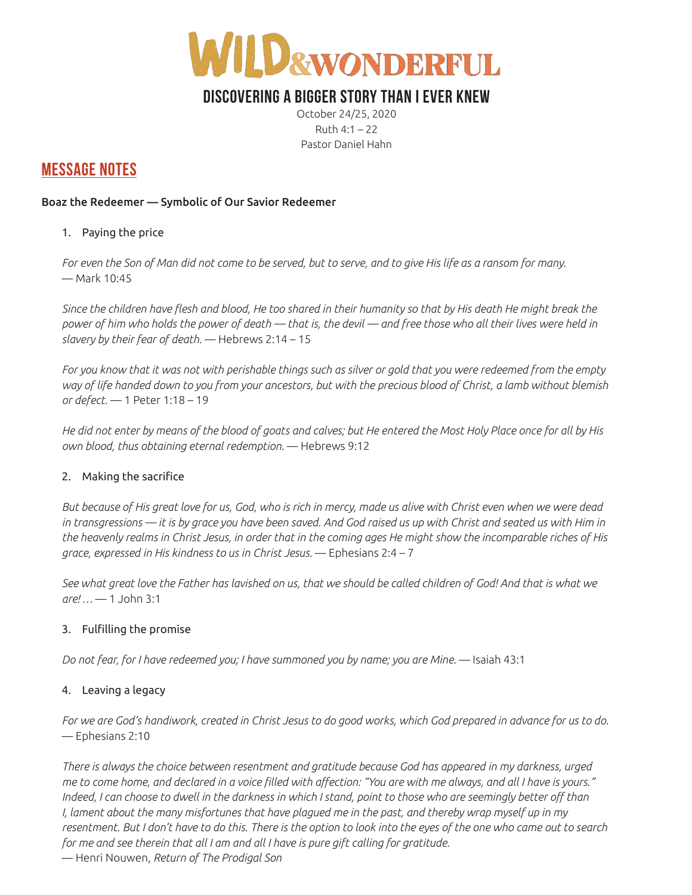

## **DISCOVERING A BIGGER STORY THAN I EVER KNEW**

October 24/25, 2020 Ruth 4:1 – 22 Pastor Daniel Hahn

### **MESSAGE NOTES**

#### Boaz the Redeemer — Symbolic of Our Savior Redeemer

#### 1. Paying the price

*For even the Son of Man did not come to be served, but to serve, and to give His life as a ransom for many.*  — Mark 10:45

*Since the children have flesh and blood, He too shared in their humanity so that by His death He might break the power of him who holds the power of death — that is, the devil — and free those who all their lives were held in slavery by their fear of death.* — Hebrews 2:14 – 15

*For you know that it was not with perishable things such as silver or gold that you were redeemed from the empty way of life handed down to you from your ancestors, but with the precious blood of Christ, a lamb without blemish or defect.* — 1 Peter 1:18 – 19

*He did not enter by means of the blood of goats and calves; but He entered the Most Holy Place once for all by His own blood, thus obtaining eternal redemption.* — Hebrews 9:12

#### 2. Making the sacrifice

*But because of His great love for us, God, who is rich in mercy, made us alive with Christ even when we were dead*  in transgressions — it is by grace you have been saved. And God raised us up with Christ and seated us with Him in *the heavenly realms in Christ Jesus, in order that in the coming ages He might show the incomparable riches of His grace, expressed in His kindness to us in Christ Jesus.* — Ephesians 2:4 – 7

*See what great love the Father has lavished on us, that we should be called children of God! And that is what we are! …* — 1 John 3:1

#### 3. Fulfilling the promise

*Do not fear, for I have redeemed you; I have summoned you by name; you are Mine.* — Isaiah 43:1

#### 4. Leaving a legacy

For we are God's handiwork, created in Christ Jesus to do good works, which God prepared in advance for us to do. — Ephesians 2:10

*There is always the choice between resentment and gratitude because God has appeared in my darkness, urged me to come home, and declared in a voice filled with affection: "You are with me always, and all I have is yours."*  Indeed, I can choose to dwell in the darkness in which I stand, point to those who are seemingly better off than *I, lament about the many misfortunes that have plagued me in the past, and thereby wrap myself up in my resentment. But I don't have to do this. There is the option to look into the eyes of the one who came out to search for me and see therein that all I am and all I have is pure gift calling for gratitude.* 

— Henri Nouwen, *Return of The Prodigal Son*